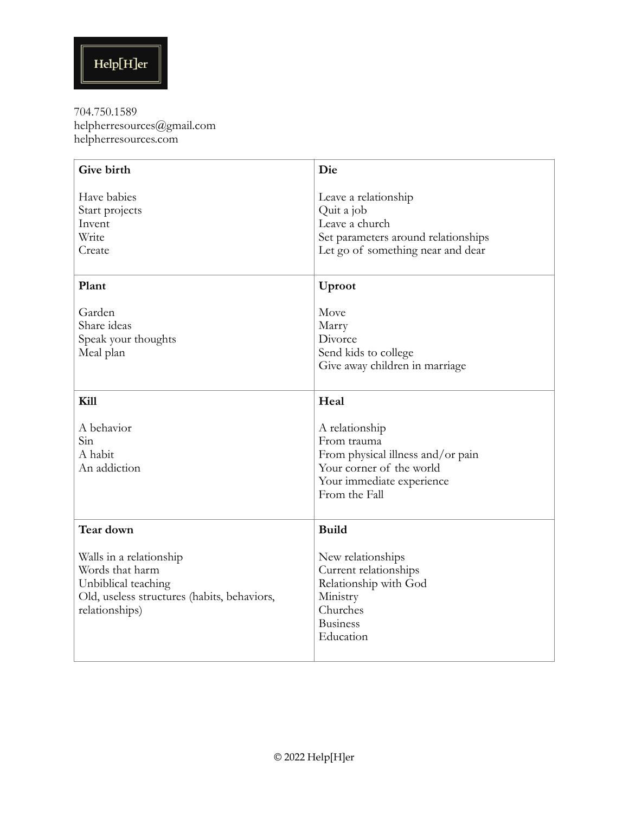| Give birth                                                                                                                         | Die                                                                                                                                          |
|------------------------------------------------------------------------------------------------------------------------------------|----------------------------------------------------------------------------------------------------------------------------------------------|
| Have babies<br>Start projects<br>Invent<br>Write<br>Create                                                                         | Leave a relationship<br>Quit a job<br>Leave a church<br>Set parameters around relationships<br>Let go of something near and dear             |
| Plant                                                                                                                              | Uproot                                                                                                                                       |
| Garden<br>Share ideas<br>Speak your thoughts<br>Meal plan                                                                          | Move<br>Marry<br>Divorce<br>Send kids to college<br>Give away children in marriage                                                           |
| Kill                                                                                                                               | Heal                                                                                                                                         |
| A behavior<br>Sin<br>A habit<br>An addiction                                                                                       | A relationship<br>From trauma<br>From physical illness and/or pain<br>Your corner of the world<br>Your immediate experience<br>From the Fall |
| Tear down                                                                                                                          | <b>Build</b>                                                                                                                                 |
| Walls in a relationship<br>Words that harm<br>Unbiblical teaching<br>Old, useless structures (habits, behaviors,<br>relationships) | New relationships<br>Current relationships<br>Relationship with God<br>Ministry<br>Churches<br><b>Business</b><br>Education                  |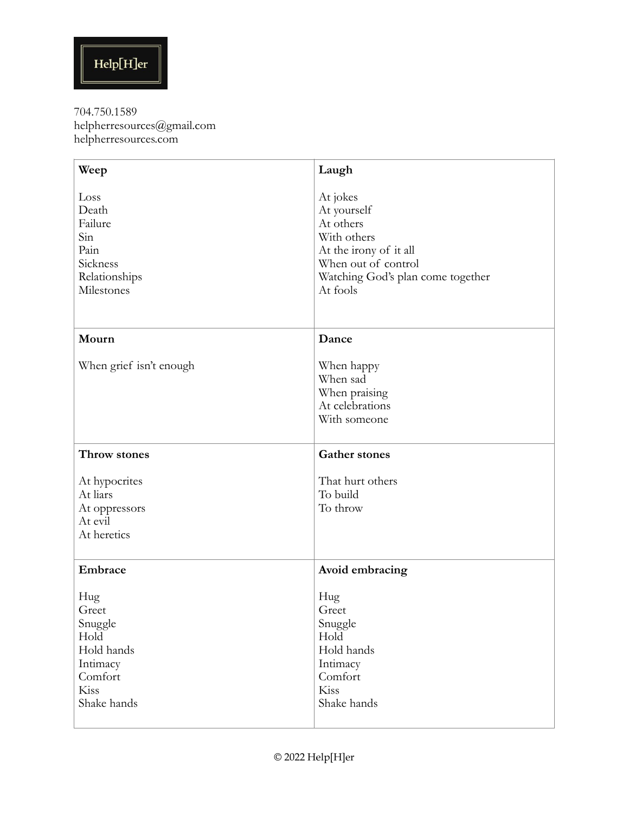| Weep                                                                                        | Laugh                                                                                                                                                 |
|---------------------------------------------------------------------------------------------|-------------------------------------------------------------------------------------------------------------------------------------------------------|
| Loss<br>Death<br>Failure<br>Sin<br>Pain<br>Sickness<br>Relationships<br>Milestones          | At jokes<br>At yourself<br>At others<br>With others<br>At the irony of it all<br>When out of control<br>Watching God's plan come together<br>At fools |
| Mourn                                                                                       | Dance                                                                                                                                                 |
| When grief isn't enough                                                                     | When happy<br>When sad<br>When praising<br>At celebrations<br>With someone                                                                            |
| Throw stones                                                                                | <b>Gather stones</b>                                                                                                                                  |
| At hypocrites<br>At liars<br>At oppressors<br>At evil<br>At heretics                        | That hurt others<br>To build<br>To throw                                                                                                              |
| Embrace                                                                                     | Avoid embracing                                                                                                                                       |
| Hug<br>Greet<br>Snuggle<br>Hold<br>Hold hands<br>Intimacy<br>Comfort<br>Kiss<br>Shake hands | Hug<br>Greet<br>Snuggle<br>Hold<br>Hold hands<br>Intimacy<br>Comfort<br>Kiss<br>Shake hands                                                           |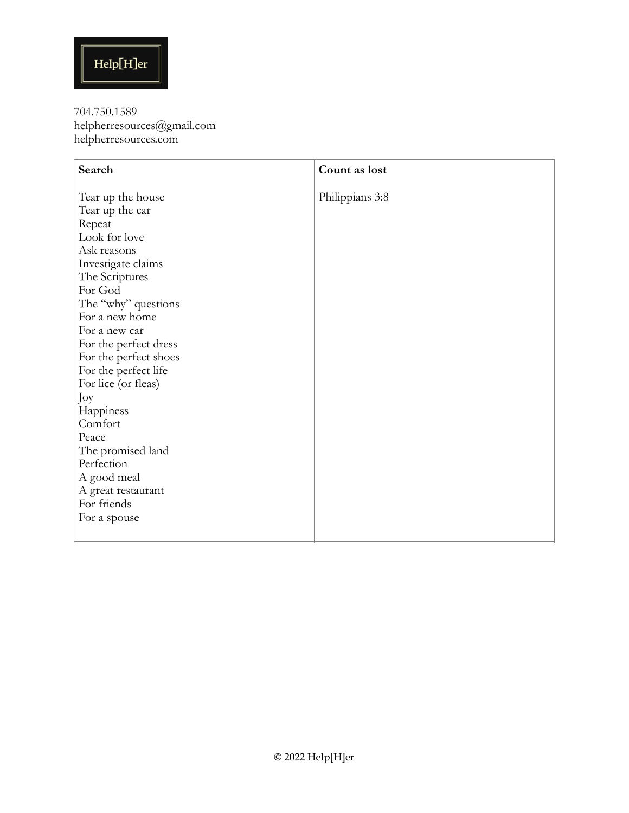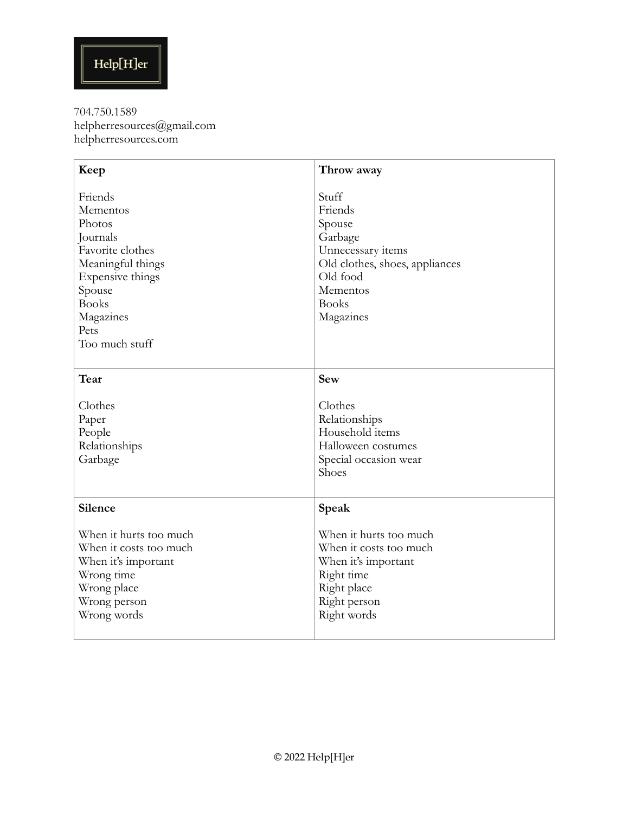| Keep                   | Throw away                     |
|------------------------|--------------------------------|
| Friends<br>Mementos    | Stuff<br>Friends               |
| Photos                 | Spouse                         |
| Journals               | Garbage                        |
| Favorite clothes       | Unnecessary items              |
| Meaningful things      | Old clothes, shoes, appliances |
| Expensive things       | Old food                       |
| Spouse                 | Mementos                       |
| <b>Books</b>           | <b>Books</b>                   |
| Magazines              | Magazines                      |
| Pets                   |                                |
| Too much stuff         |                                |
|                        |                                |
| Tear                   | <b>Sew</b>                     |
| Clothes                | Clothes                        |
| Paper                  | Relationships                  |
| People                 | Household items                |
| Relationships          | Halloween costumes             |
| Garbage                | Special occasion wear          |
|                        | Shoes                          |
|                        |                                |
| Silence                | Speak                          |
| When it hurts too much | When it hurts too much         |
| When it costs too much | When it costs too much         |
| When it's important    | When it's important            |
| Wrong time             | Right time                     |
| Wrong place            | Right place                    |
| Wrong person           | Right person                   |
| Wrong words            | Right words                    |
|                        |                                |